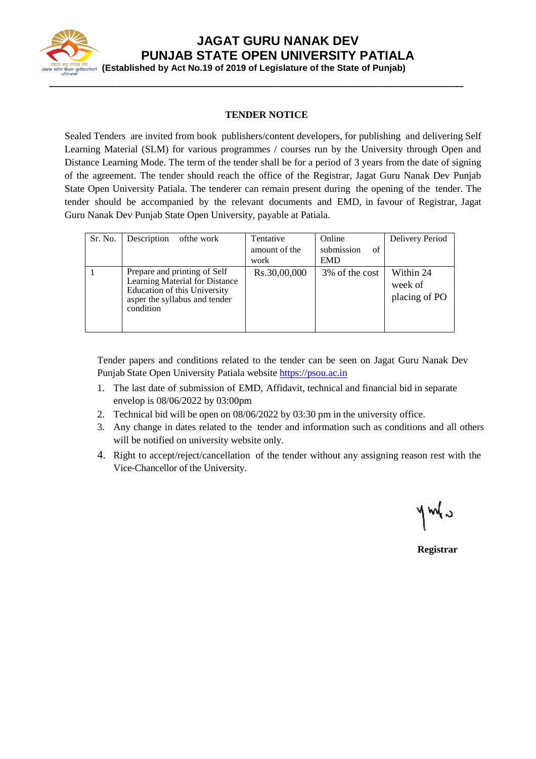

 **(Established by Act No.19 of 2019 of Legislature of the State of Punjab)**

#### **TENDER NOTICE**

Sealed Tenders are invited from book publishers/content developers, for publishing and delivering Self Learning Material (SLM) for various programmes / courses run by the University through Open and Distance Learning Mode. The term of the tender shall be for a period of 3 years from the date of signing of the agreement. The tender should reach the office of the Registrar, Jagat Guru Nanak Dev Punjab State Open University Patiala. The tenderer can remain present during the opening of the tender. The tender should be accompanied by the relevant documents and EMD, in favour of Registrar, Jagat Guru Nanak Dev Punjab State Open University, payable at Patiala.

| Sr. No. | Description of the work                                                                                                                      | Tentative<br>amount of the<br>work | Online<br>submission<br>of<br><b>EMD</b> | Delivery Period                       |
|---------|----------------------------------------------------------------------------------------------------------------------------------------------|------------------------------------|------------------------------------------|---------------------------------------|
|         | Prepare and printing of Self<br>Learning Material for Distance<br>Education of this University<br>asper the syllabus and tender<br>condition | Rs.30,00,000                       | 3\% of the cost                          | Within 24<br>week of<br>placing of PO |

Tender papers and conditions related to the tender can be seen on Jagat Guru Nanak Dev Punjab State Open University Patiala website [https://psou.ac.in](https://psou.ac.in/)

- 1. The last date of submission of EMD, Affidavit, technical and financial bid in separate envelop is 08/06/2022 by 03:00pm
- 2. Technical bid will be open on 08/06/2022 by 03:30 pm in the university office.
- 3. Any change in dates related to the tender and information such as conditions and all others will be notified on university website only.
- 4. Right to accept/reject/cancellation of the tender without any assigning reason rest with the Vice-Chancellor of the University.

 $y = 4$ 

**Registrar**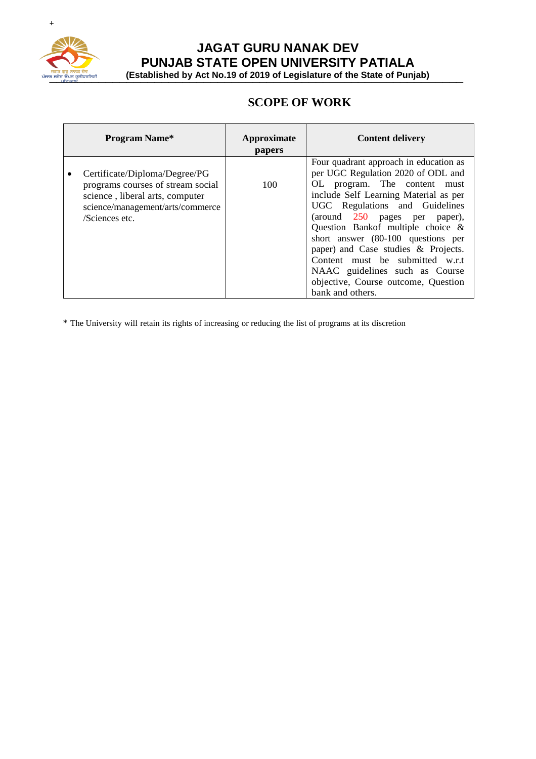

<u>मना है कि उन्हें हैं। इस उनके बैंक अनुस</u>ह कर बैंक (Established by Act No.19 of 2019 of Legislature of the State of Punjab)

## **SCOPE OF WORK**

| <b>Program Name*</b>                                                                                                                                        | Approximate<br>papers | <b>Content delivery</b>                                                                                                                                                                                                                                                                                                                                                                                                                                                    |
|-------------------------------------------------------------------------------------------------------------------------------------------------------------|-----------------------|----------------------------------------------------------------------------------------------------------------------------------------------------------------------------------------------------------------------------------------------------------------------------------------------------------------------------------------------------------------------------------------------------------------------------------------------------------------------------|
| Certificate/Diploma/Degree/PG<br>programs courses of stream social<br>science, liberal arts, computer<br>science/management/arts/commerce<br>/Sciences etc. | 100                   | Four quadrant approach in education as<br>per UGC Regulation 2020 of ODL and<br>OL program. The content must<br>include Self Learning Material as per<br>UGC Regulations and Guidelines<br>(around 250 pages per paper),<br>Question Bankof multiple choice &<br>short answer (80-100 questions per<br>paper) and Case studies & Projects.<br>Content must be submitted w.r.t<br>NAAC guidelines such as Course<br>objective, Course outcome, Question<br>bank and others. |

\* The University will retain its rights of increasing or reducing the list of programs at its discretion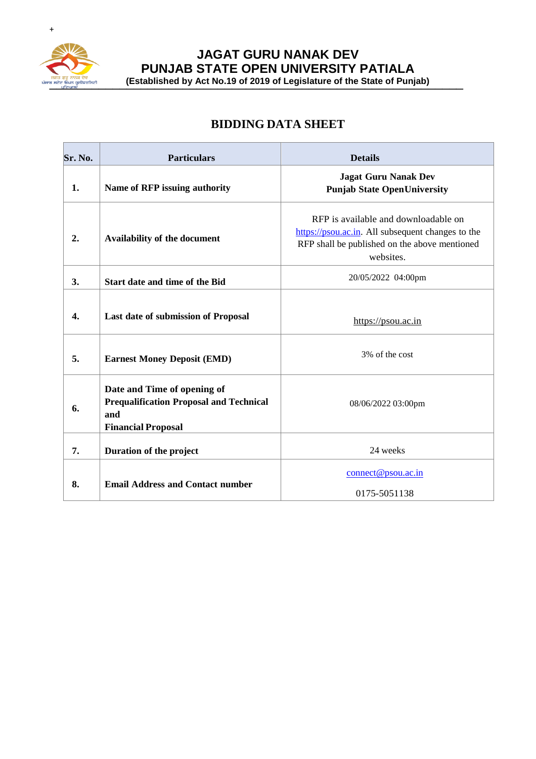

**JAGAT GURU NANAK DEV PUNJAB STATE OPEN UNIVERSITY PATIALA**

**THE SET ON ART SURFALL STATE OF A LITTLE CONSUMING A REPORT OF A LITTLE CONSUMING A REPORT OF A LITTLE OF A LIT**<br>
<br> *Ality Rice of State of Punjab*)

## **BIDDING DATA SHEET**

| Sr. No.   | <b>Particulars</b>                                                                                                | <b>Details</b>                                                                                                                                          |
|-----------|-------------------------------------------------------------------------------------------------------------------|---------------------------------------------------------------------------------------------------------------------------------------------------------|
| 1.        | Name of RFP issuing authority                                                                                     | <b>Jagat Guru Nanak Dev</b><br><b>Punjab State OpenUniversity</b>                                                                                       |
| 2.        | Availability of the document                                                                                      | RFP is available and downloadable on<br>https://psou.ac.in. All subsequent changes to the<br>RFP shall be published on the above mentioned<br>websites. |
| <b>3.</b> | Start date and time of the Bid                                                                                    | 20/05/2022 04:00pm                                                                                                                                      |
| 4.        | Last date of submission of Proposal                                                                               | https://psou.ac.in                                                                                                                                      |
| 5.        | <b>Earnest Money Deposit (EMD)</b>                                                                                | 3% of the cost                                                                                                                                          |
| 6.        | Date and Time of opening of<br><b>Prequalification Proposal and Technical</b><br>and<br><b>Financial Proposal</b> | 08/06/2022 03:00pm                                                                                                                                      |
| 7.        | Duration of the project                                                                                           | 24 weeks                                                                                                                                                |
| 8.        | <b>Email Address and Contact number</b>                                                                           | connect@psou.ac.in<br>0175-5051138                                                                                                                      |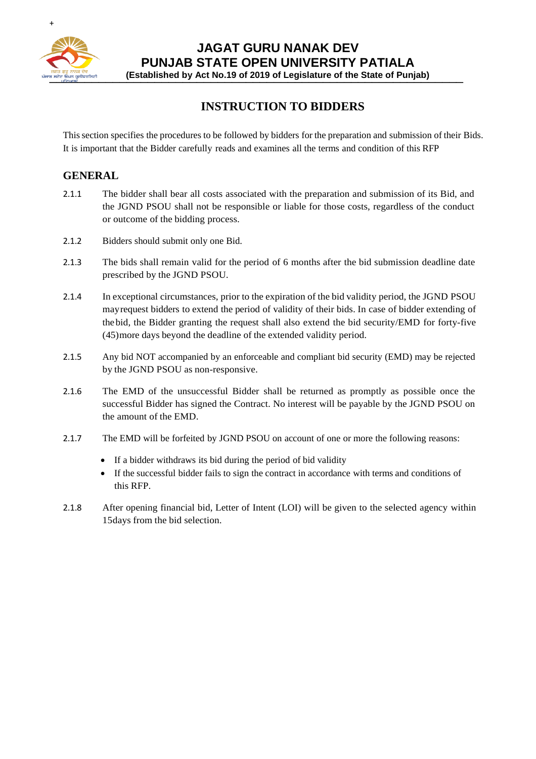

\_\_\_\_\_\_\_\_\_\_\_\_\_\_\_\_\_\_\_\_\_\_\_\_\_\_\_\_\_\_\_\_\_\_\_\_\_\_\_\_\_\_\_\_\_\_\_\_\_\_\_\_\_\_\_\_\_\_\_ **(Established by Act No.19 of 2019 of Legislature of the State of Punjab)**

## **INSTRUCTION TO BIDDERS**

Thissection specifies the procedures to be followed by bidders for the preparation and submission of their Bids. It is important that the Bidder carefully reads and examines all the terms and condition of this RFP

#### **GENERAL**

- 2.1.1 The bidder shall bear all costs associated with the preparation and submission of its Bid, and the JGND PSOU shall not be responsible or liable for those costs, regardless of the conduct or outcome of the bidding process.
- 2.1.2 Bidders should submit only one Bid.
- 2.1.3 The bids shall remain valid for the period of 6 months after the bid submission deadline date prescribed by the JGND PSOU.
- 2.1.4 In exceptional circumstances, prior to the expiration of the bid validity period, the JGND PSOU mayrequest bidders to extend the period of validity of their bids. In case of bidder extending of thebid, the Bidder granting the request shall also extend the bid security/EMD for forty-five (45)more days beyond the deadline of the extended validity period.
- 2.1.5 Any bid NOT accompanied by an enforceable and compliant bid security (EMD) may be rejected by the JGND PSOU as non-responsive.
- 2.1.6 The EMD of the unsuccessful Bidder shall be returned as promptly as possible once the successful Bidder has signed the Contract. No interest will be payable by the JGND PSOU on the amount of the EMD.
- 2.1.7 The EMD will be forfeited by JGND PSOU on account of one or more the following reasons:
	- If a bidder withdraws its bid during the period of bid validity
	- If the successful bidder fails to sign the contract in accordance with terms and conditions of this RFP.
- 2.1.8 After opening financial bid, Letter of Intent (LOI) will be given to the selected agency within 15days from the bid selection.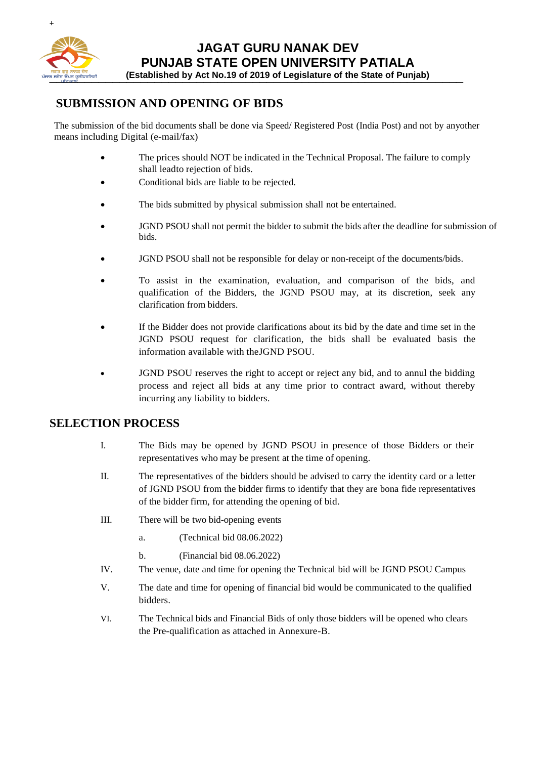

\_\_\_\_\_\_\_\_\_\_\_\_\_\_\_\_\_\_\_\_\_\_\_\_\_\_\_\_\_\_\_\_\_\_\_\_\_\_\_\_\_\_\_\_\_\_\_\_\_\_\_\_\_\_\_\_\_\_\_ **(Established by Act No.19 of 2019 of Legislature of the State of Punjab)**

## **SUBMISSION AND OPENING OF BIDS**

The submission of the bid documents shall be done via Speed/ Registered Post (India Post) and not by anyother means including Digital (e-mail/fax)

- The prices should NOT be indicated in the Technical Proposal. The failure to comply shall leadto rejection of bids.
- Conditional bids are liable to be rejected.
- The bids submitted by physical submission shall not be entertained.
- JGND PSOU shall not permit the bidder to submit the bids after the deadline for submission of bids.
- JGND PSOU shall not be responsible for delay or non-receipt of the documents/bids.
- To assist in the examination, evaluation, and comparison of the bids, and qualification of the Bidders, the JGND PSOU may, at its discretion, seek any clarification from bidders.
- If the Bidder does not provide clarifications about its bid by the date and time set in the JGND PSOU request for clarification, the bids shall be evaluated basis the information available with theJGND PSOU.
- JGND PSOU reserves the right to accept or reject any bid, and to annul the bidding process and reject all bids at any time prior to contract award, without thereby incurring any liability to bidders.

#### **SELECTION PROCESS**

- I. The Bids may be opened by JGND PSOU in presence of those Bidders or their representatives who may be present at the time of opening.
- II. The representatives of the bidders should be advised to carry the identity card or a letter of JGND PSOU from the bidder firms to identify that they are bona fide representatives of the bidder firm, for attending the opening of bid.
- III. There will be two bid-opening events
	- a. (Technical bid 08.06.2022)
	- b. (Financial bid 08.06.2022)
- IV. The venue, date and time for opening the Technical bid will be JGND PSOU Campus
- V. The date and time for opening of financial bid would be communicated to the qualified bidders.
- VI. The Technical bids and Financial Bids of only those bidders will be opened who clears the Pre-qualification as attached in Annexure-B.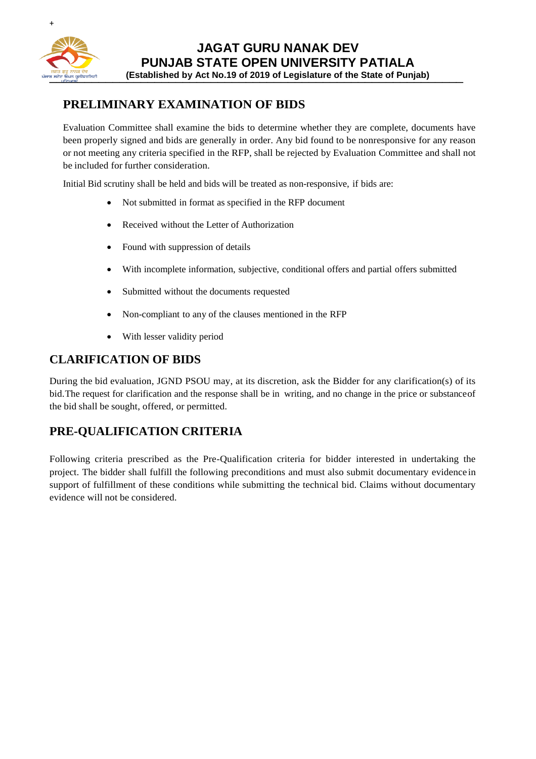

### **PRELIMINARY EXAMINATION OF BIDS**

Evaluation Committee shall examine the bids to determine whether they are complete, documents have been properly signed and bids are generally in order. Any bid found to be nonresponsive for any reason or not meeting any criteria specified in the RFP, shall be rejected by Evaluation Committee and shall not be included for further consideration.

Initial Bid scrutiny shall be held and bids will be treated as non-responsive, if bids are:

- Not submitted in format as specified in the RFP document
- Received without the Letter of Authorization
- Found with suppression of details
- With incomplete information, subjective, conditional offers and partial offers submitted
- Submitted without the documents requested
- Non-compliant to any of the clauses mentioned in the RFP
- With lesser validity period

#### **CLARIFICATION OF BIDS**

During the bid evaluation, JGND PSOU may, at its discretion, ask the Bidder for any clarification(s) of its bid.The request for clarification and the response shall be in writing, and no change in the price or substanceof the bid shall be sought, offered, or permitted.

#### **PRE-QUALIFICATION CRITERIA**

Following criteria prescribed as the Pre-Qualification criteria for bidder interested in undertaking the project. The bidder shall fulfill the following preconditions and must also submit documentary evidence in support of fulfillment of these conditions while submitting the technical bid. Claims without documentary evidence will not be considered.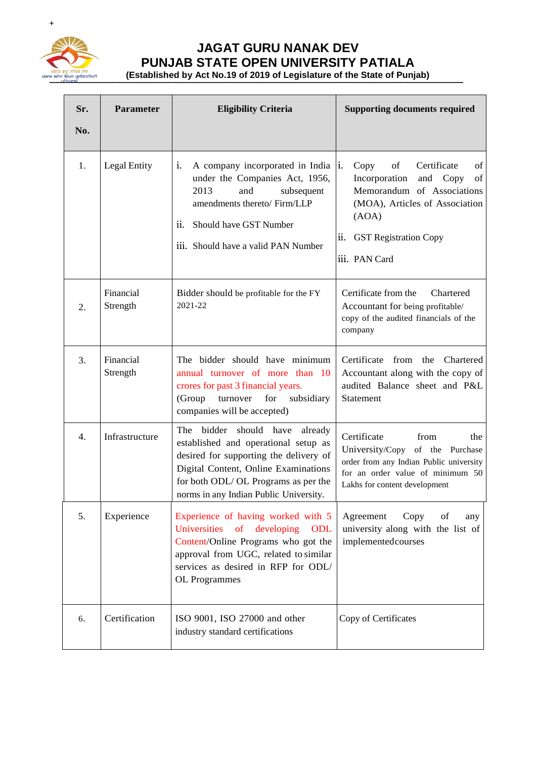

# **JAGAT GURU NANAK DEV PUNJAB STATE OPEN UNIVERSITY PATIALA**

an added to the State of Punjab) (Established by Act No.19 of 2019 of Legislature of the State of Punjab)

| Sr.<br>No. | <b>Parameter</b>      | <b>Eligibility Criteria</b>                                                                                                                                                                                                                        | <b>Supporting documents required</b>                                                                                                                                                                |
|------------|-----------------------|----------------------------------------------------------------------------------------------------------------------------------------------------------------------------------------------------------------------------------------------------|-----------------------------------------------------------------------------------------------------------------------------------------------------------------------------------------------------|
| 1.         | Legal Entity          | i.<br>A company incorporated in India  i.<br>under the Companies Act, 1956,<br>2013<br>and<br>subsequent<br>amendments thereto/ Firm/LLP<br>ii.<br>Should have GST Number<br>iii. Should have a valid PAN Number                                   | of<br>Certificate<br>of<br>Copy<br>of<br>Incorporation<br>and Copy<br>Memorandum of Associations<br>(MOA), Articles of Association<br>(AOA)<br>ii.<br><b>GST Registration Copy</b><br>iii. PAN Card |
| 2.         | Financial<br>Strength | Bidder should be profitable for the FY<br>2021-22                                                                                                                                                                                                  | Certificate from the<br><b>Chartered</b><br>Accountant for being profitable/<br>copy of the audited financials of the<br>company                                                                    |
| 3.         | Financial<br>Strength | The bidder should have minimum<br>annual turnover of more than 10<br>crores for past 3 financial years.<br>(Group<br>turnover<br>for<br>subsidiary<br>companies will be accepted)                                                                  | Certificate<br>from<br>the<br>Chartered<br>Accountant along with the copy of<br>audited Balance sheet and P&L<br>Statement                                                                          |
| 4.         | Infrastructure        | bidder<br>should have<br>The<br>already<br>established and operational setup as<br>desired for supporting the delivery of<br>Digital Content, Online Examinations<br>for both ODL/OL Programs as per the<br>norms in any Indian Public University. | Certificate<br>from<br>the<br>University/Copy of the Purchase<br>order from any Indian Public university<br>for an order value of minimum 50<br>Lakhs for content development                       |
| 5.         | Experience            | Experience of having worked with 5<br>of<br>Universities<br>developing<br>ODL<br>Content/Online Programs who got the<br>approval from UGC, related to similar<br>services as desired in RFP for ODL/<br>OL Programmes                              | Agreement<br>Copy<br>of<br>any<br>university along with the list of<br>implementedcourses                                                                                                           |
| 6.         | Certification         | ISO 9001, ISO 27000 and other<br>industry standard certifications                                                                                                                                                                                  | Copy of Certificates                                                                                                                                                                                |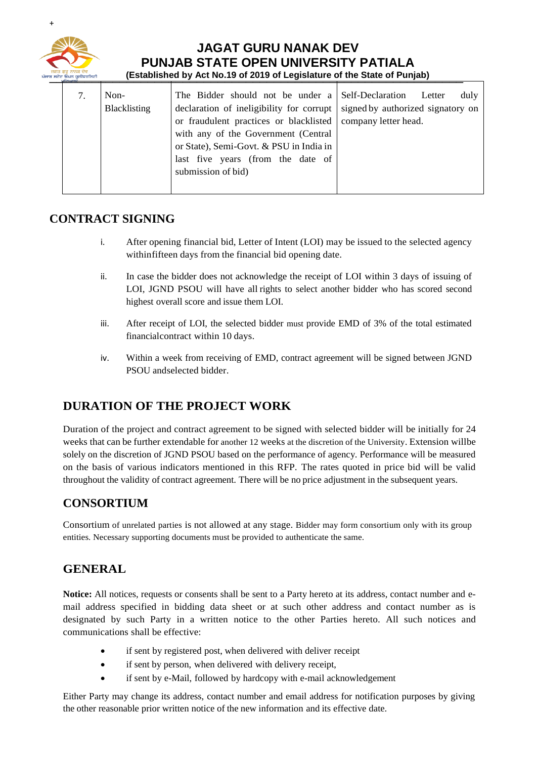

#### **JAGAT GURU NANAK DEV PUNJAB STATE OPEN UNIVERSITY PATIALA** \_\_\_\_\_\_\_\_\_\_\_\_\_\_\_\_\_\_\_\_\_\_\_\_\_\_\_\_\_\_\_\_\_\_\_\_\_\_\_\_\_\_\_\_\_\_\_\_\_\_\_\_\_\_\_\_\_\_\_ **(Established by Act No.19 of 2019 of Legislature of the State of Punjab)**

| Blacklisting<br>declaration of ineligibility for corrupt signed by authorized signatory on<br>or fraudulent practices or blacklisted   company letter head.<br>with any of the Government (Central<br>or State), Semi-Govt. & PSU in India in<br>last five years (from the date of<br>submission of bid) |  |
|----------------------------------------------------------------------------------------------------------------------------------------------------------------------------------------------------------------------------------------------------------------------------------------------------------|--|
|----------------------------------------------------------------------------------------------------------------------------------------------------------------------------------------------------------------------------------------------------------------------------------------------------------|--|

## **CONTRACT SIGNING**

- i. After opening financial bid, Letter of Intent (LOI) may be issued to the selected agency withinfifteen days from the financial bid opening date.
- ii. In case the bidder does not acknowledge the receipt of LOI within 3 days of issuing of LOI, JGND PSOU will have all rights to select another bidder who has scored second highest overall score and issue them LOI.
- iii. After receipt of LOI, the selected bidder must provide EMD of 3% of the total estimated financialcontract within 10 days.
- iv. Within a week from receiving of EMD, contract agreement will be signed between JGND PSOU andselected bidder.

## **DURATION OF THE PROJECT WORK**

Duration of the project and contract agreement to be signed with selected bidder will be initially for 24 weeks that can be further extendable for another 12 weeks at the discretion of the University. Extension willbe solely on the discretion of JGND PSOU based on the performance of agency. Performance will be measured on the basis of various indicators mentioned in this RFP. The rates quoted in price bid will be valid throughout the validity of contract agreement. There will be no price adjustment in the subsequent years.

#### **CONSORTIUM**

Consortium of unrelated parties is not allowed at any stage. Bidder may form consortium only with its group entities. Necessary supporting documents must be provided to authenticate the same.

## **GENERAL**

**Notice:** All notices, requests or consents shall be sent to a Party hereto at its address, contact number and email address specified in bidding data sheet or at such other address and contact number as is designated by such Party in a written notice to the other Parties hereto. All such notices and communications shall be effective:

- if sent by registered post, when delivered with deliver receipt
- if sent by person, when delivered with delivery receipt,
- if sent by e-Mail, followed by hardcopy with e-mail acknowledgement

Either Party may change its address, contact number and email address for notification purposes by giving the other reasonable prior written notice of the new information and its effective date.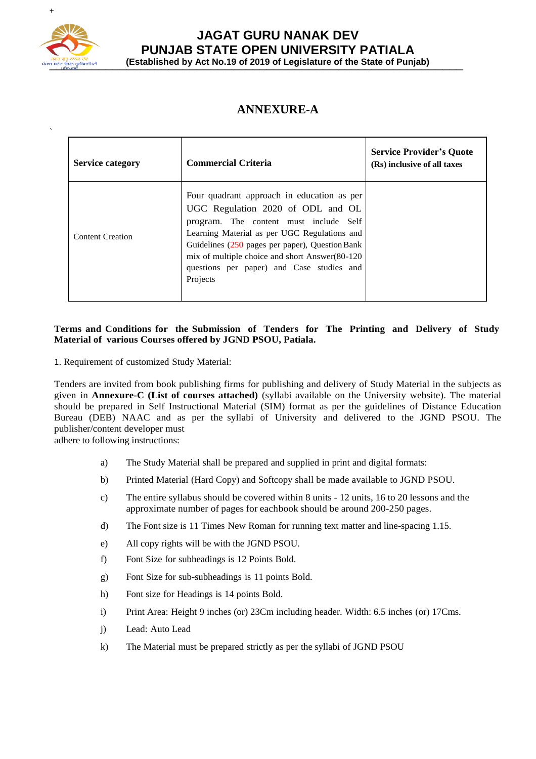

`

#### **JAGAT GURU NANAK DEV PUNJAB STATE OPEN UNIVERSITY PATIALA** \_\_\_\_\_\_\_\_\_\_\_\_\_\_\_\_\_\_\_\_\_\_\_\_\_\_\_\_\_\_\_\_\_\_\_\_\_\_\_\_\_\_\_\_\_\_\_\_\_\_\_\_\_\_\_\_\_\_\_ **(Established by Act No.19 of 2019 of Legislature of the State of Punjab)**

## **ANNEXURE-A**

| <b>Service category</b> | <b>Commercial Criteria</b>                                                                                                                                                                                                                                                                                                                 | <b>Service Provider's Quote</b><br>(Rs) inclusive of all taxes |
|-------------------------|--------------------------------------------------------------------------------------------------------------------------------------------------------------------------------------------------------------------------------------------------------------------------------------------------------------------------------------------|----------------------------------------------------------------|
| <b>Content Creation</b> | Four quadrant approach in education as per<br>UGC Regulation 2020 of ODL and OL<br>program. The content must include Self<br>Learning Material as per UGC Regulations and<br>Guidelines $(250$ pages per paper), Question Bank<br>mix of multiple choice and short Answer(80-120)<br>questions per paper) and Case studies and<br>Projects |                                                                |

#### **Terms and Conditions for the Submission of Tenders for The Printing and Delivery of Study Material of various Courses offered by JGND PSOU, Patiala.**

1. Requirement of customized Study Material:

Tenders are invited from book publishing firms for publishing and delivery of Study Material in the subjects as given in **Annexure-C (List of courses attached)** (syllabi available on the University website). The material should be prepared in Self Instructional Material (SIM) format as per the guidelines of Distance Education Bureau (DEB) NAAC and as per the syllabi of University and delivered to the JGND PSOU. The publisher/content developer must

adhere to following instructions:

- a) The Study Material shall be prepared and supplied in print and digital formats:
- b) Printed Material (Hard Copy) and Softcopy shall be made available to JGND PSOU.
- c) The entire syllabus should be covered within 8 units 12 units, 16 to 20 lessons and the approximate number of pages for eachbook should be around 200-250 pages.
- d) The Font size is 11 Times New Roman for running text matter and line-spacing 1.15.
- e) All copy rights will be with the JGND PSOU.
- f) Font Size for subheadings is 12 Points Bold.
- g) Font Size for sub-subheadings is 11 points Bold.
- h) Font size for Headings is 14 points Bold.
- i) Print Area: Height 9 inches (or) 23Cm including header. Width: 6.5 inches (or) 17Cms.
- j) Lead: Auto Lead
- k) The Material must be prepared strictly as per the syllabi of JGND PSOU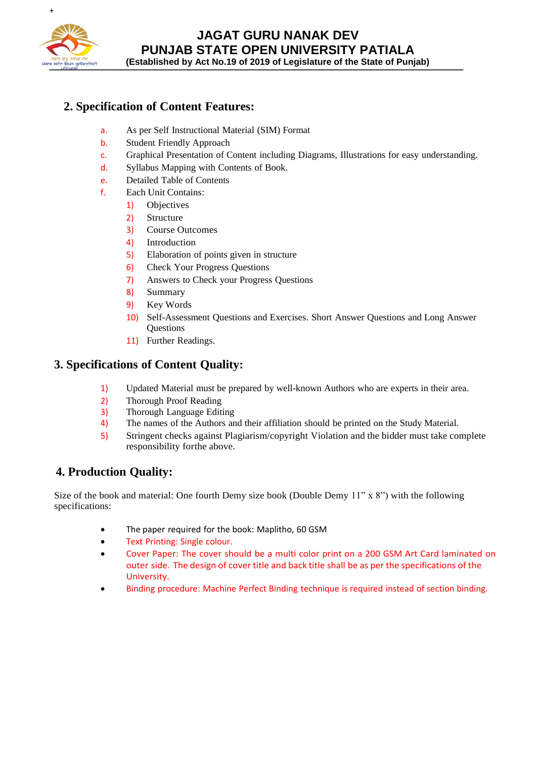

# **JAGAT GURU NANAK DEV PUNJAB STATE OPEN UNIVERSITY PATIALA**

\_\_\_\_\_\_\_\_\_\_\_\_\_\_\_\_\_\_\_\_\_\_\_\_\_\_\_\_\_\_\_\_\_\_\_\_\_\_\_\_\_\_\_\_\_\_\_\_\_\_\_\_\_\_\_\_\_\_\_ **(Established by Act No.19 of 2019 of Legislature of the State of Punjab)**

## **2. Specification of Content Features:**

- a. As per Self Instructional Material (SIM) Format
- b. Student Friendly Approach
- c. Graphical Presentation of Content including Diagrams, Illustrations for easy understanding.
- d. Syllabus Mapping with Contents of Book.
- e. Detailed Table of Contents
- f. Each Unit Contains:
	- 1) Objectives
	- 2) Structure
	- 3) Course Outcomes
	- 4) Introduction
	- 5) Elaboration of points given in structure
	- 6) Check Your Progress Questions
	- 7) Answers to Check your Progress Questions
	- 8) Summary
	- 9) Key Words
	- 10) Self-Assessment Questions and Exercises. Short Answer Questions and Long Answer **Questions**
	- 11) Further Readings.

#### **3. Specifications of Content Quality:**

- 1) Updated Material must be prepared by well-known Authors who are experts in their area.
- 2) Thorough Proof Reading
- 3) Thorough Language Editing
- 4) The names of the Authors and their affiliation should be printed on the Study Material.
- 5) Stringent checks against Plagiarism/copyright Violation and the bidder must take complete responsibility forthe above.

## **4. Production Quality:**

Size of the book and material: One fourth Demy size book (Double Demy 11" x 8") with the following specifications:

- The paper required for the book: Maplitho, 60 GSM
- Text Printing: Single colour.
- Cover Paper: The cover should be a multi color print on a 200 GSM Art Card laminated on outer side. The design of cover title and back title shall be as per the specifications of the University.
- Binding procedure: Machine Perfect Binding technique is required instead of section binding.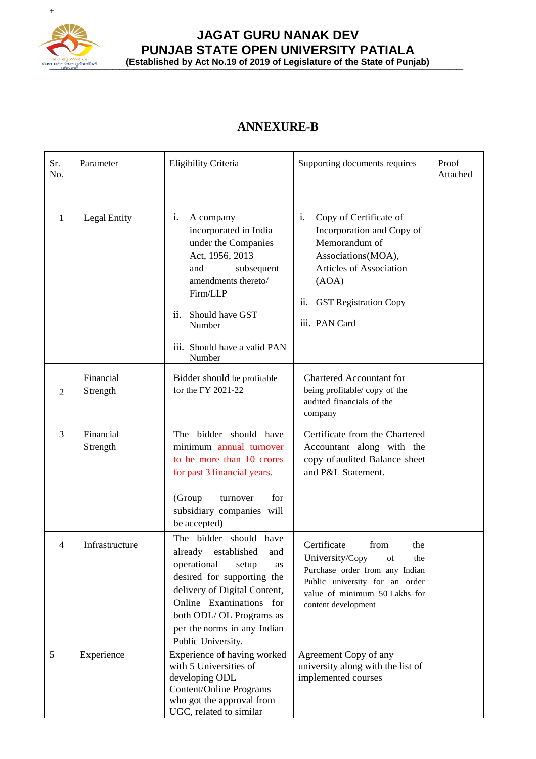

### **JAGAT GURU NANAK DEV PUNJAB STATE OPEN UNIVERSITY PATIALA** प्रसान बुद्ध करु<mark>ब हैं। अनुवा</mark>ह कर बैंच (Established by Act No.19 of 2019 of Legislature of the State of Punjab)

## **ANNEXURE-B**

| Sr.<br>No.   | Parameter             | Eligibility Criteria                                                                                                                                                                                                                                           | Supporting documents requires                                                                                                                                                                             | Proof<br>Attached |
|--------------|-----------------------|----------------------------------------------------------------------------------------------------------------------------------------------------------------------------------------------------------------------------------------------------------------|-----------------------------------------------------------------------------------------------------------------------------------------------------------------------------------------------------------|-------------------|
| $\mathbf{1}$ | Legal Entity          | A company<br>1.<br>incorporated in India<br>under the Companies<br>Act, 1956, 2013<br>and<br>subsequent<br>amendments thereto/<br>Firm/LLP<br>ii.<br>Should have GST<br>Number<br>iii. Should have a valid PAN<br>Number                                       | Copy of Certificate of<br>$\mathbf{1}$ .<br>Incorporation and Copy of<br>Memorandum of<br>Associations (MOA),<br>Articles of Association<br>(AOA)<br>ii.<br><b>GST Registration Copy</b><br>iii. PAN Card |                   |
| 2            | Financial<br>Strength | Bidder should be profitable<br>for the FY 2021-22                                                                                                                                                                                                              | <b>Chartered Accountant for</b><br>being profitable/copy of the<br>audited financials of the<br>company                                                                                                   |                   |
| 3            | Financial<br>Strength | The bidder should have<br>minimum annual turnover<br>to be more than 10 crores<br>for past 3 financial years.<br>(Group<br>for<br>turnover<br>subsidiary companies will<br>be accepted)                                                                        | Certificate from the Chartered<br>Accountant along with the<br>copy of audited Balance sheet<br>and P&L Statement.                                                                                        |                   |
| 4            | Infrastructure        | The bidder should have<br>already<br>established<br>and<br>operational<br>setup<br>as<br>desired for supporting the<br>delivery of Digital Content,<br>Online Examinations for<br>both ODL/OL Programs as<br>per the norms in any Indian<br>Public University. | Certificate<br>from<br>the<br>University/Copy of<br>the<br>Purchase order from any Indian<br>Public university for an order<br>value of minimum 50 Lakhs for<br>content development                       |                   |
| 5            | Experience            | Experience of having worked<br>with 5 Universities of<br>developing ODL<br>Content/Online Programs<br>who got the approval from<br>UGC, related to similar                                                                                                     | Agreement Copy of any<br>university along with the list of<br>implemented courses                                                                                                                         |                   |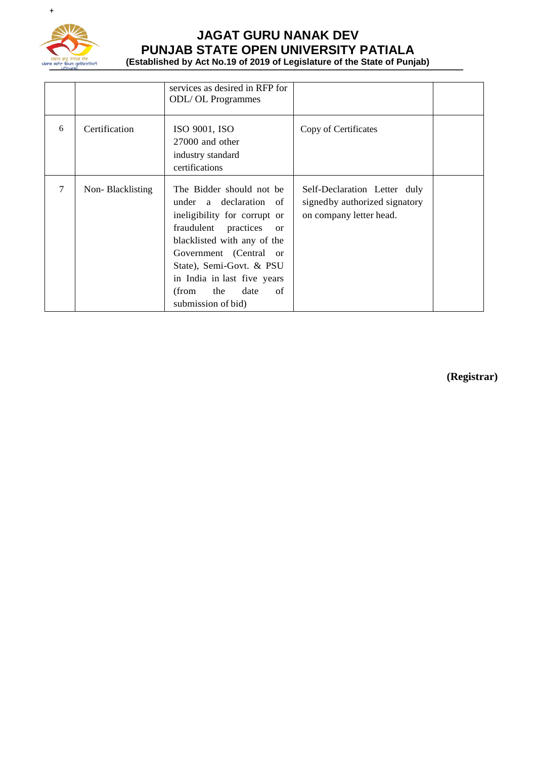

# **JAGAT GURU NANAK DEV PUNJAB STATE OPEN UNIVERSITY PATIALA**

**THES OF CONCRET CONSIDER AND LOCAL CONSIDER (Established by Act No.19 of 2019 of Legislature of the State of Punjab)** 

|   |                  | services as desired in RFP for<br><b>ODL/OL Programmes</b>                                                                                                                                                                                                                                          |                                                                                           |  |
|---|------------------|-----------------------------------------------------------------------------------------------------------------------------------------------------------------------------------------------------------------------------------------------------------------------------------------------------|-------------------------------------------------------------------------------------------|--|
| 6 | Certification    | ISO 9001, ISO<br>$27000$ and other<br>industry standard<br>certifications                                                                                                                                                                                                                           | Copy of Certificates                                                                      |  |
| 7 | Non-Blacklisting | The Bidder should not be<br>under a declaration of<br>ineligibility for corrupt or<br>fraudulent practices<br><sub>or</sub><br>blacklisted with any of the<br>Government (Central or<br>State), Semi-Govt. & PSU<br>in India in last five years<br>(from<br>the<br>date<br>of<br>submission of bid) | Self-Declaration Letter duly<br>signed by authorized signatory<br>on company letter head. |  |

 **(Registrar)**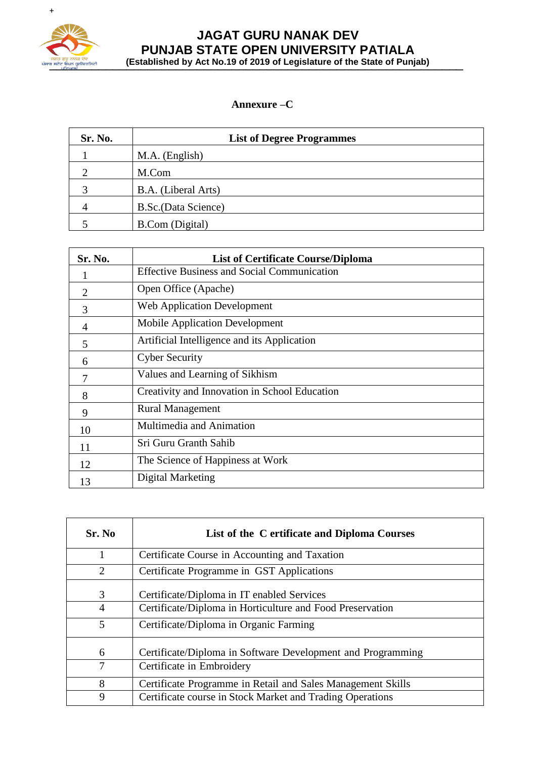

### **JAGAT GURU NANAK DEV PUNJAB STATE OPEN UNIVERSITY PATIALA** प्रसान बुद्ध करु<mark>ब हैं। अनुवा</mark>ह कर बैंच (Established by Act No.19 of 2019 of Legislature of the State of Punjab)

#### **Annexure –C**

| Sr. No. | <b>List of Degree Programmes</b> |
|---------|----------------------------------|
|         | M.A. (English)                   |
|         | M.Com                            |
|         | B.A. (Liberal Arts)              |
| 4       | B.Sc.(Data Science)              |
|         | <b>B.Com</b> (Digital)           |

| Sr. No.        | <b>List of Certificate Course/Diploma</b>          |
|----------------|----------------------------------------------------|
|                | <b>Effective Business and Social Communication</b> |
| $\overline{2}$ | Open Office (Apache)                               |
| 3              | <b>Web Application Development</b>                 |
| 4              | <b>Mobile Application Development</b>              |
| 5              | Artificial Intelligence and its Application        |
| 6              | <b>Cyber Security</b>                              |
| 7              | Values and Learning of Sikhism                     |
| 8              | Creativity and Innovation in School Education      |
| 9              | <b>Rural Management</b>                            |
| 10             | Multimedia and Animation                           |
| 11             | Sri Guru Granth Sahib                              |
| 12             | The Science of Happiness at Work                   |
| 13             | Digital Marketing                                  |

| Sr. No | List of the C ertificate and Diploma Courses                |
|--------|-------------------------------------------------------------|
|        | Certificate Course in Accounting and Taxation               |
| 2      | Certificate Programme in GST Applications                   |
| 3      | Certificate/Diploma in IT enabled Services                  |
| 4      | Certificate/Diploma in Horticulture and Food Preservation   |
| 5      | Certificate/Diploma in Organic Farming                      |
| 6      | Certificate/Diploma in Software Development and Programming |
| 7      | Certificate in Embroidery                                   |
| 8      | Certificate Programme in Retail and Sales Management Skills |
| 9      | Certificate course in Stock Market and Trading Operations   |